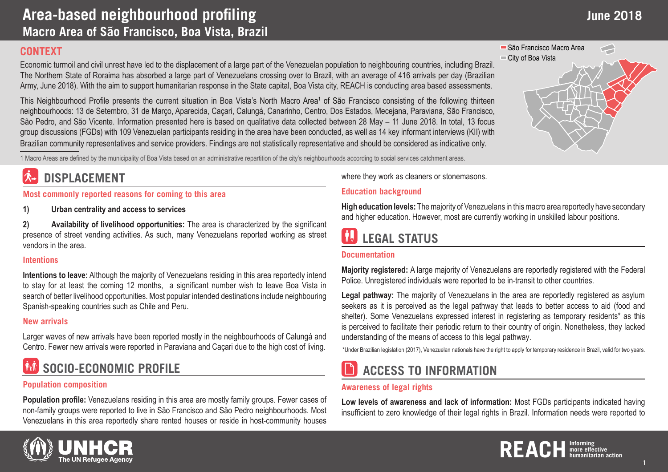### **CONTEXT**

Economic turmoil and civil unrest have led to the displacement of a large part of the Venezuelan population to neighbouring countries, including Brazil. The Northern State of Roraima has absorbed a large part of Venezuelans crossing over to Brazil, with an average of 416 arrivals per day (Brazilian Army, June 2018). With the aim to support humanitarian response in the State capital, Boa Vista city, REACH is conducting area based assessments.

This Neighbourhood Profile presents the current situation in Boa Vista's North Macro Area<sup>1</sup> of São Francisco consisting of the following thirteen neighbourhoods: 13 de Setembro, 31 de Março, Aparecida, Caçari, Calungá, Canarinho, Centro, Dos Estados, Mecejana, Paraviana, São Francisco, São Pedro, and São Vicente. Information presented here is based on qualitative data collected between 28 May – 11 June 2018. In total, 13 focus group discussions (FGDs) with 109 Venezuelan participants residing in the area have been conducted, as well as 14 key informant interviews (KII) with Brazilian community representatives and service providers. Findings are not statistically representative and should be considered as indicative only.

1 Macro Areas are defined by the municipality of Boa Vista based on an administrative repartition of the city's neighbourhoods according to social services catchment areas.

### **DISPLACEMENT**

**Most commonly reported reasons for coming to this area**

**1) Urban centrality and access to services**

**2) Availability of livelihood opportunities:** The area is characterized by the significant presence of street vending activities. As such, many Venezuelans reported working as street vendors in the area.

#### **Intentions**

**Intentions to leave:** Although the majority of Venezuelans residing in this area reportedly intend to stay for at least the coming 12 months, a significant number wish to leave Boa Vista in search of better livelihood opportunities. Most popular intended destinations include neighbouring Spanish-speaking countries such as Chile and Peru.

### **New arrivals**

Larger waves of new arrivals have been reported mostly in the neighbourhoods of Calungá and Centro. Fewer new arrivals were reported in Paraviana and Caçari due to the high cost of living.

# **SOCIO-ECONOMIC PROFILE**

### **Population composition**

**Population profile:** Venezuelans residing in this area are mostly family groups. Fewer cases of non-family groups were reported to live in São Francisco and São Pedro neighbourhoods. Most Venezuelans in this area reportedly share rented houses or reside in host-community houses where they work as cleaners or stonemasons.

#### **Education background**

**High education levels:** The majority of Venezuelans in this macro area reportedly have secondary and higher education. However, most are currently working in unskilled labour positions.

# **LEGAL STATUS**

### **Documentation**

**Majority registered:** A large majority of Venezuelans are reportedly registered with the Federal Police. Unregistered individuals were reported to be in-transit to other countries.

**Legal pathway:** The majority of Venezuelans in the area are reportedly registered as asylum seekers as it is perceived as the legal pathway that leads to better access to aid (food and shelter). Some Venezuelans expressed interest in registering as temporary residents\* as this is perceived to facilitate their periodic return to their country of origin. Nonetheless, they lacked understanding of the means of access to this legal pathway.

\*Under Brazilian legislation (2017), Venezuelan nationals have the right to apply for temporary residence in Brazil, valid for two years.

### **ACCESS TO INFORMATION**

#### **Awareness of legal rights**

**Low levels of awareness and lack of information:** Most FGDs participants indicated having insufficient to zero knowledge of their legal rights in Brazil. Information needs were reported to





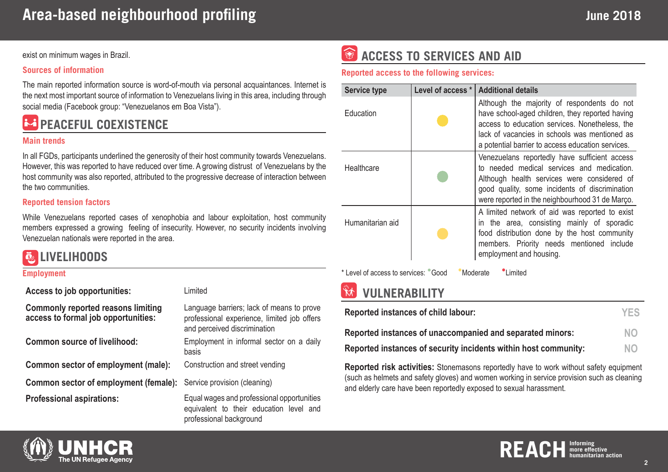exist on minimum wages in Brazil.

#### **Sources of information**

The main reported information source is word-of-mouth via personal acquaintances. Internet is the next most important source of information to Venezuelans living in this area, including through social media (Facebook group: "Venezuelanos em Boa Vista").

# **PEACEFUL COEXISTENCE**

#### **Main trends**

In all FGDs, participants underlined the generosity of their host community towards Venezuelans. However, this was reported to have reduced over time. A growing distrust of Venezuelans by the host community was also reported, attributed to the progressive decrease of interaction between the two communities.

#### **Reported tension factors**

While Venezuelans reported cases of xenophobia and labour exploitation, host community members expressed a growing feeling of insecurity. However, no security incidents involving Venezuelan nationals were reported in the area.

### **LIVELIHOODS**

#### **Employment**

| Access to job opportunities:                                                     | Limited                                                                                                                  |
|----------------------------------------------------------------------------------|--------------------------------------------------------------------------------------------------------------------------|
| <b>Commonly reported reasons limiting</b><br>access to formal job opportunities: | Language barriers; lack of means to prove<br>professional experience, limited job offers<br>and perceived discrimination |
| <b>Common source of livelihood:</b>                                              | Employment in informal sector on a daily<br>basis                                                                        |
| Common sector of employment (male):                                              | Construction and street vending                                                                                          |
| Common sector of employment (female):                                            | Service provision (cleaning)                                                                                             |
| <b>Professional aspirations:</b>                                                 | Equal wages and professional opportunities<br>equivalent to their education level and<br>professional background         |

# *ACCESS TO SERVICES AND AID*

#### **Reported access to the following services:**

| <b>Service type</b>                                         | Level of access * | <b>Additional details</b>                                                                                                                                                                                                                              |  |
|-------------------------------------------------------------|-------------------|--------------------------------------------------------------------------------------------------------------------------------------------------------------------------------------------------------------------------------------------------------|--|
| Education                                                   |                   | Although the majority of respondents do not<br>have school-aged children, they reported having<br>access to education services. Nonetheless, the<br>lack of vacancies in schools was mentioned as<br>a potential barrier to access education services. |  |
| Healthcare                                                  |                   | Venezuelans reportedly have sufficient access<br>to needed medical services and medication.<br>Although health services were considered of<br>good quality, some incidents of discrimination<br>were reported in the neighbourhood 31 de Março.        |  |
| Humanitarian aid                                            |                   | A limited network of aid was reported to exist<br>in the area, consisting mainly of sporadic<br>food distribution done by the host community<br>members. Priority needs mentioned include<br>employment and housing.                                   |  |
| * Level of access to services: Cood<br>I imited<br>Moderate |                   |                                                                                                                                                                                                                                                        |  |

### **VULNERABILITY**

| Reported instances of child labour:                             | <b>YES</b> |
|-----------------------------------------------------------------|------------|
| Reported instances of unaccompanied and separated minors:       | <b>NO</b>  |
| Reported instances of security incidents within host community: | <b>NO</b>  |

**Reported risk activities:** Stonemasons reportedly have to work without safety equipment (such as helmets and safety gloves) and women working in service provision such as cleaning and elderly care have been reportedly exposed to sexual harassment.